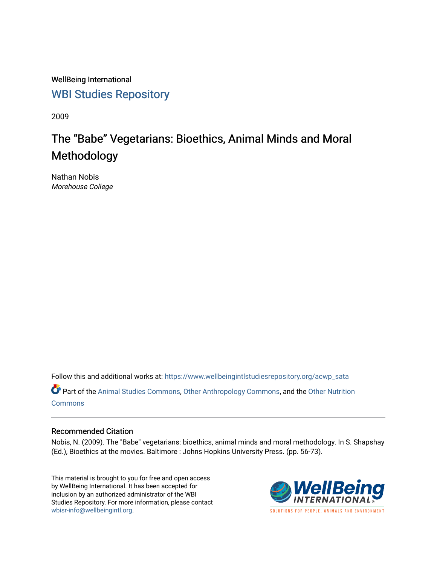WellBeing International [WBI Studies Repository](https://www.wellbeingintlstudiesrepository.org/)

2009

# The "Babe" Vegetarians: Bioethics, Animal Minds and Moral Methodology

Nathan Nobis Morehouse College

Follow this and additional works at: [https://www.wellbeingintlstudiesrepository.org/acwp\\_sata](https://www.wellbeingintlstudiesrepository.org/acwp_sata?utm_source=www.wellbeingintlstudiesrepository.org%2Facwp_sata%2F15&utm_medium=PDF&utm_campaign=PDFCoverPages)

Part of the [Animal Studies Commons,](http://network.bepress.com/hgg/discipline/1306?utm_source=www.wellbeingintlstudiesrepository.org%2Facwp_sata%2F15&utm_medium=PDF&utm_campaign=PDFCoverPages) [Other Anthropology Commons](http://network.bepress.com/hgg/discipline/324?utm_source=www.wellbeingintlstudiesrepository.org%2Facwp_sata%2F15&utm_medium=PDF&utm_campaign=PDFCoverPages), and the [Other Nutrition](http://network.bepress.com/hgg/discipline/101?utm_source=www.wellbeingintlstudiesrepository.org%2Facwp_sata%2F15&utm_medium=PDF&utm_campaign=PDFCoverPages)  [Commons](http://network.bepress.com/hgg/discipline/101?utm_source=www.wellbeingintlstudiesrepository.org%2Facwp_sata%2F15&utm_medium=PDF&utm_campaign=PDFCoverPages)

### Recommended Citation

Nobis, N. (2009). The "Babe" vegetarians: bioethics, animal minds and moral methodology. In S. Shapshay (Ed.), Bioethics at the movies. Baltimore : Johns Hopkins University Press. (pp. 56-73).

This material is brought to you for free and open access by WellBeing International. It has been accepted for inclusion by an authorized administrator of the WBI Studies Repository. For more information, please contact [wbisr-info@wellbeingintl.org](mailto:wbisr-info@wellbeingintl.org).



SOLUTIONS FOR PEOPLE. ANIMALS AND ENVIRONMENT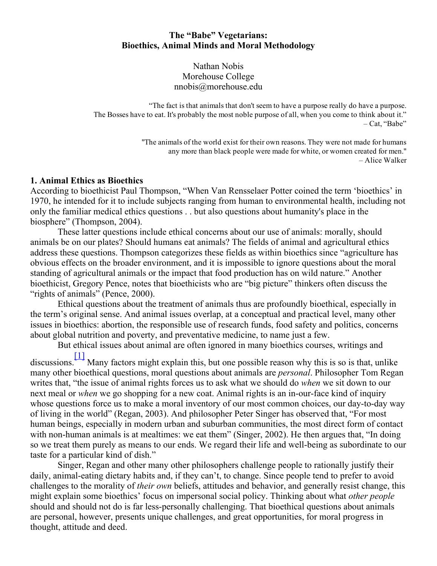# The "Babe" Vegetarians: Bioethics, Animal Minds and Moral Methodology

Nathan Nobis Morehouse College nnobis@morehouse.edu

"The fact is that animals that don't seem to have a purpose really do have a purpose. The Bosses have to eat. It's probably the most noble purpose of all, when you come to think about it." – Cat, "Babe"

> "The animals of the world exist for their own reasons. They were not made for humans any more than black people were made for white, or women created for men." – Alice Walker

### 1. Animal Ethics as Bioethics

According to bioethicist Paul Thompson, "When Van Rensselaer Potter coined the term 'bioethics' in 1970, he intended for it to include subjects ranging from human to environmental health, including not only the familiar medical ethics questions . . but also questions about humanity's place in the biosphere" (Thompson, 2004).

These latter questions include ethical concerns about our use of animals: morally, should animals be on our plates? Should humans eat animals? The fields of animal and agricultural ethics address these questions. Thompson categorizes these fields as within bioethics since "agriculture has obvious effects on the broader environment, and it is impossible to ignore questions about the moral standing of agricultural animals or the impact that food production has on wild nature." Another bioethicist, Gregory Pence, notes that bioethicists who are "big picture" thinkers often discuss the "rights of animals" (Pence, 2000).

Ethical questions about the treatment of animals thus are profoundly bioethical, especially in the term's original sense. And animal issues overlap, at a conceptual and practical level, many other issues in bioethics: abortion, the responsible use of research funds, food safety and politics, concerns about global nutrition and poverty, and preventative medicine, to name just a few.

<span id="page-1-0"></span>But ethical issues about animal are often ignored in many bioethics courses, writings and

discussions.  $\boxed{1}$  Many factors might explain this, but one possible reason why this is so is that, unlike many other bioethical questions, moral questions about animals are *personal*. Philosopher Tom Regan writes that, "the issue of animal rights forces us to ask what we should do *when* we sit down to our next meal or *when* we go shopping for a new coat. Animal rights is an in-our-face kind of inquiry whose questions force us to make a moral inventory of our most common choices, our day-to-day way of living in the world" (Regan, 2003). And philosopher Peter Singer has observed that, "For most human beings, especially in modern urban and suburban communities, the most direct form of contact with non-human animals is at mealtimes: we eat them" (Singer, 2002). He then argues that, "In doing so we treat them purely as means to our ends. We regard their life and well-being as subordinate to our taste for a particular kind of dish."

Singer, Regan and other many other philosophers challenge people to rationally justify their daily, animal-eating dietary habits and, if they can't, to change. Since people tend to prefer to avoid challenges to the morality of their own beliefs, attitudes and behavior, and generally resist change, this might explain some bioethics' focus on impersonal social policy. Thinking about what other people should and should not do is far less-personally challenging. That bioethical questions about animals are personal, however, presents unique challenges, and great opportunities, for moral progress in thought, attitude and deed.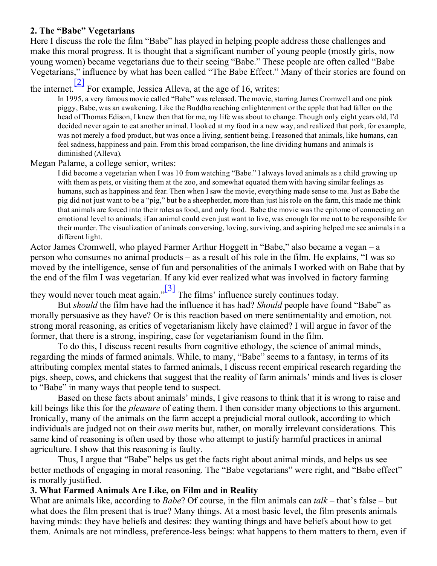# 2. The "Babe" Vegetarians

Here I discuss the role the film "Babe" has played in helping people address these challenges and make this moral progress. It is thought that a significant number of young people (mostly girls, now young women) became vegetarians due to their seeing "Babe." These people are often called "Babe Vegetarians," influence by what has been called "The Babe Effect." Many of their stories are found on [\[2\]](#page-10-1)

#### the internet. For example, Jessica Alleva, at the age of 16, writes:

<span id="page-2-1"></span>In 1995, a very famous movie called "Babe" was released. The movie, starring James Cromwell and one pink piggy, Babe, was an awakening. Like the Buddha reaching enlightenment or the apple that had fallen on the head of Thomas Edison, I knew then that for me, my life was about to change. Though only eight years old, I'd decided never again to eat another animal. I looked at my food in a new way, and realized that pork, for example, was not merely a food product, but was once a living, sentient being. I reasoned that animals, like humans, can feel sadness, happiness and pain. From this broad comparison, the line dividing humans and animals is diminished (Alleva).

# Megan Palame, a college senior, writes:

I did become a vegetarian when I was 10 from watching "Babe." I always loved animals as a child growing up with them as pets, or visiting them at the zoo, and somewhat equated them with having similar feelings as humans, such as happiness and fear. Then when Isaw the movie, everything made sense to me. Just as Babe the pig did not just want to be a "pig," but be a sheepherder, more than just his role on the farm, this made me think that animals are forced into their roles as food, and only food. Babe the movie was the epitome of connecting an emotional level to animals; if an animal could even just want to live, was enough for me not to be responsible for their murder. The visualization of animals conversing, loving, surviving, and aspiring helped me see animals in a different light.

Actor James Cromwell, who played Farmer Arthur Hoggett in "Babe," also became a vegan – a person who consumes no animal products – as a result of his role in the film. He explains, "I was so moved by the intelligence, sense of fun and personalities of the animals I worked with on Babe that by the end of the film I was vegetarian. If any kid ever realized what was involved in factory farming

<span id="page-2-0"></span>they would never touch meat again." [\[3\]](#page-10-2) The films' influence surely continues today.

But should the film have had the influence it has had? Should people have found "Babe" as morally persuasive as they have? Or is this reaction based on mere sentimentality and emotion, not strong moral reasoning, as critics of vegetarianism likely have claimed? I will argue in favor of the former, that there is a strong, inspiring, case for vegetarianism found in the film.

To do this, I discuss recent results from cognitive ethology, the science of animal minds, regarding the minds of farmed animals. While, to many, "Babe" seems to a fantasy, in terms of its attributing complex mental states to farmed animals, I discuss recent empirical research regarding the pigs, sheep, cows, and chickens that suggest that the reality of farm animals' minds and lives is closer to "Babe" in many ways that people tend to suspect.

Based on these facts about animals' minds, I give reasons to think that it is wrong to raise and kill beings like this for the pleasure of eating them. I then consider many objections to this argument. Ironically, many of the animals on the farm accept a prejudicial moral outlook, according to which individuals are judged not on their own merits but, rather, on morally irrelevant considerations. This same kind of reasoning is often used by those who attempt to justify harmful practices in animal agriculture. I show that this reasoning is faulty.

Thus, I argue that "Babe" helps us get the facts right about animal minds, and helps us see better methods of engaging in moral reasoning. The "Babe vegetarians" were right, and "Babe effect" is morally justified.

# 3. What Farmed Animals Are Like, on Film and in Reality

What are animals like, according to *Babe*? Of course, in the film animals can  $talk$  – that's false – but what does the film present that is true? Many things. At a most basic level, the film presents animals having minds: they have beliefs and desires: they wanting things and have beliefs about how to get them. Animals are not mindless, preference-less beings: what happens to them matters to them, even if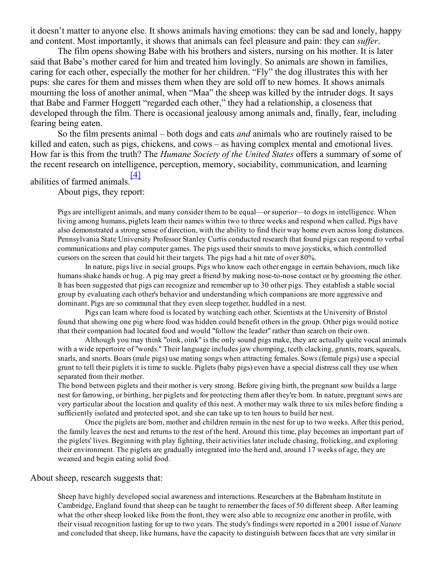it doesn't matter to anyone else. It shows animals having emotions: they can be sad and lonely, happy and content. Most importantly, it shows that animals can feel pleasure and pain: they can *suffer*.

The film opens showing Babe with his brothers and sisters, nursing on his mother. It is later said that Babe's mother cared for him and treated him lovingly. So animals are shown in families, caring for each other, especially the mother for her children. "Fly" the dog illustrates this with her pups: she cares for them and misses them when they are sold off to new homes. It shows animals mourning the loss of another animal, when "Maa" the sheep was killed by the intruder dogs. It says that Babe and Farmer Hoggett "regarded each other," they had a relationship, a closeness that developed through the film. There is occasional jealousy among animals and, finally, fear, including fearing being eaten.

So the film presents animal – both dogs and cats *and* animals who are routinely raised to be killed and eaten, such as pigs, chickens, and cows – as having complex mental and emotional lives. How far is this from the truth? The *Humane Society of the United States* offers a summary of some of the recent research on intelligence, perception, memory, sociability, communication, and learning

#### abilities of farmed animals. [\[4\]](#page-10-3)

<span id="page-3-0"></span>About pigs, they report:

Pigs are intelligent animals, and many consider them to be equal—or superior—to dogs in intelligence. When living among humans, piglets learn their names within two to three weeks and respond when called. Pigs have also demonstrated a strong sense of direction, with the ability to find their way home even across long distances. Pennsylvania State University Professor Stanley Curtis conducted research that found pigs can respond to verbal communications and play computer games. The pigs used their snouts to move joysticks, which controlled cursors on the screen that could hit their targets. The pigs had a hit rate of over 80%.

In nature, pigs live in social groups. Pigs who know each other engage in certain behaviors, much like humans shake hands or hug. A pig may greet a friend by making nose-to-nose contact or by grooming the other. It has been suggested that pigs can recognize and remember up to 30 other pigs. They establish a stable social group by evaluating each other's behavior and understanding which companions are more aggressive and dominant. Pigs are so communal that they even sleep together, huddled in a nest.

Pigs can learn where food is located by watching each other. Scientists at the University of Bristol found that showing one pig where food was hidden could benefit others in the group. Other pigs would notice that their companion had located food and would "follow the leader" rather than search on their own.

Although you may think "oink, oink" is the only sound pigs make, they are actually quite vocal animals with a wide repertoire of "words." Their language includes jaw chomping, teeth clacking, grunts, roars, squeals, snarls, and snorts. Boars (male pigs) use mating songs when attracting females. Sows (female pigs) use a special grunt to tell their piglets it is time to suckle. Piglets (baby pigs) even have a special distress call they use when separated from their mother.

The bond between piglets and their mother is very strong. Before giving birth, the pregnant sow builds a large nest for farrowing, or birthing, her piglets and for protecting them after they're born. In nature, pregnant sows are very particular about the location and quality of this nest. A mother may walk three to six miles before finding a sufficiently isolated and protected spot, and she can take up to ten hours to build her nest.

Once the piglets are born, mother and children remain in the nest for up to two weeks. After this period, the family leaves the nest and returns to the rest of the herd. Around this time, play becomes an important part of the piglets' lives. Beginning with play fighting, their activities later include chasing, frolicking, and exploring their environment. The piglets are gradually integrated into the herd and, around 17 weeks of age, they are weaned and begin eating solid food.

#### About sheep, research suggests that:

Sheep have highly developed social awareness and interactions. Researchers at the Babraham Institute in Cambridge, England found that sheep can be taught to remember the faces of 50 different sheep. After learning what the other sheep looked like from the front, they were also able to recognize one another in profile, with their visual recognition lasting for up to two years. The study's findings were reported in a 2001 issue of Nature and concluded that sheep, like humans, have the capacity to distinguish between faces that are very similar in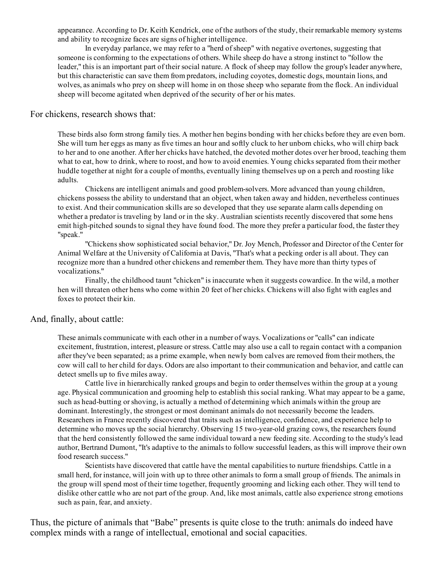appearance. According to Dr. Keith Kendrick, one of the authors of the study, their remarkable memory systems and ability to recognize faces are signs of higher intelligence.

In everyday parlance, we may refer to a "herd ofsheep" with negative overtones, suggesting that someone is conforming to the expectations of others. While sheep do have a strong instinct to "follow the leader," this is an important part of their social nature. A flock of sheep may follow the group's leader anywhere, but this characteristic can save them from predators, including coyotes, domestic dogs, mountain lions, and wolves, as animals who prey on sheep will home in on those sheep who separate from the flock. An individual sheep will become agitated when deprived of the security of her or his mates.

# For chickens, research shows that:

These birds also form strong family ties. A mother hen begins bonding with her chicks before they are even born. She will turn her eggs as many as five times an hour and softly cluck to her unborn chicks, who will chirp back to her and to one another. After her chicks have hatched, the devoted mother dotes over her brood, teaching them what to eat, how to drink, where to roost, and how to avoid enemies. Young chicks separated from their mother huddle together at night for a couple of months, eventually lining themselves up on a perch and roosting like adults.

Chickens are intelligent animals and good problem-solvers. More advanced than young children, chickens possess the ability to understand that an object, when taken away and hidden, nevertheless continues to exist. And their communication skills are so developed that they use separate alarm calls depending on whether a predator is traveling by land or in the sky. Australian scientists recently discovered that some hens emit high-pitched sounds to signal they have found food. The more they prefer a particular food, the faster they "speak."

"Chickens show sophisticated social behavior," Dr. Joy Mench, Professor and Director of the Center for Animal Welfare at the University of California at Davis, "That's what a pecking order is all about. They can recognize more than a hundred other chickens and remember them. They have more than thirty types of vocalizations."

Finally, the childhood taunt "chicken" is inaccurate when it suggests cowardice. In the wild, a mother hen will threaten other hens who come within 20 feet of her chicks. Chickens will also fight with eagles and foxes to protect their kin.

### And, finally, about cattle:

These animals communicate with each other in a number of ways. Vocalizations or "calls" can indicate excitement, frustration, interest, pleasure orstress. Cattle may also use a call to regain contact with a companion after they've been separated; as a prime example, when newly born calves are removed from their mothers, the cow will call to her child for days. Odors are also important to their communication and behavior, and cattle can detect smells up to five miles away.

Cattle live in hierarchically ranked groups and begin to order themselves within the group at a young age. Physical communication and grooming help to establish this social ranking. What may appear to be a game, such as head-butting or shoving, is actually a method of determining which animals within the group are dominant. Interestingly, the strongest or most dominant animals do not necessarily become the leaders. Researchers in France recently discovered that traits such as intelligence, confidence, and experience help to determine who moves up the social hierarchy. Observing 15 two-year-old grazing cows, the researchers found that the herd consistently followed the same individual toward a new feeding site. According to the study's lead author, Bertrand Dumont, "It's adaptive to the animals to follow successful leaders, as this will improve their own food research success."

Scientists have discovered that cattle have the mental capabilities to nurture friendships. Cattle in a small herd, for instance, will join with up to three other animals to form a small group of friends. The animals in the group will spend most of their time together, frequently grooming and licking each other. They will tend to dislike other cattle who are not part of the group. And, like most animals, cattle also experience strong emotions such as pain, fear, and anxiety.

Thus, the picture of animals that "Babe" presents is quite close to the truth: animals do indeed have complex minds with a range of intellectual, emotional and social capacities.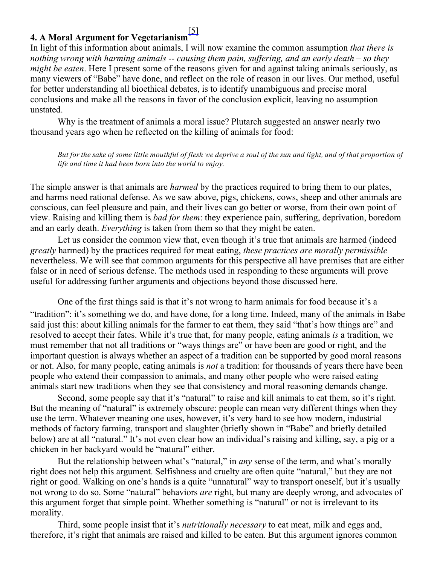#### <span id="page-5-0"></span>4. A Moral Argument for Vegetarianism [\[5\]](#page-10-4)

In light of this information about animals, I will now examine the common assumption *that there is* nothing wrong with harming animals  $-$  causing them pain, suffering, and an early death – so they might be eaten. Here I present some of the reasons given for and against taking animals seriously, as many viewers of "Babe" have done, and reflect on the role of reason in our lives. Our method, useful for better understanding all bioethical debates, is to identify unambiguous and precise moral conclusions and make all the reasons in favor of the conclusion explicit, leaving no assumption unstated.

Why is the treatment of animals a moral issue? Plutarch suggested an answer nearly two thousand years ago when he reflected on the killing of animals for food:

But for the sake of some little mouthful of flesh we deprive a soul of the sun and light, and of that proportion of life and time it had been born into the world to enjoy.

The simple answer is that animals are *harmed* by the practices required to bring them to our plates, and harms need rational defense. As we saw above, pigs, chickens, cows, sheep and other animals are conscious, can feel pleasure and pain, and their lives can go better or worse, from their own point of view. Raising and killing them is bad for them: they experience pain, suffering, deprivation, boredom and an early death. Everything is taken from them so that they might be eaten.

Let us consider the common view that, even though it's true that animals are harmed (indeed greatly harmed) by the practices required for meat eating, these practices are morally permissible nevertheless. We will see that common arguments for this perspective all have premises that are either false or in need of serious defense. The methods used in responding to these arguments will prove useful for addressing further arguments and objections beyond those discussed here.

One of the first things said is that it's not wrong to harm animals for food because it's a "tradition": it's something we do, and have done, for a long time. Indeed, many of the animals in Babe said just this: about killing animals for the farmer to eat them, they said "that's how things are" and resolved to accept their fates. While it's true that, for many people, eating animals is a tradition, we must remember that not all traditions or "ways things are" or have been are good or right, and the important question is always whether an aspect of a tradition can be supported by good moral reasons or not. Also, for many people, eating animals is not a tradition: for thousands of years there have been people who extend their compassion to animals, and many other people who were raised eating animals start new traditions when they see that consistency and moral reasoning demands change.

Second, some people say that it's "natural" to raise and kill animals to eat them, so it's right. But the meaning of "natural" is extremely obscure: people can mean very different things when they use the term. Whatever meaning one uses, however, it's very hard to see how modern, industrial methods of factory farming, transport and slaughter (briefly shown in "Babe" and briefly detailed below) are at all "natural." It's not even clear how an individual's raising and killing, say, a pig or a chicken in her backyard would be "natural" either.

But the relationship between what's "natural," in *any* sense of the term, and what's morally right does not help this argument. Selfishness and cruelty are often quite "natural," but they are not right or good. Walking on one's hands is a quite "unnatural" way to transport oneself, but it's usually not wrong to do so. Some "natural" behaviors *are* right, but many are deeply wrong, and advocates of this argument forget that simple point. Whether something is "natural" or not is irrelevant to its morality.

Third, some people insist that it's *nutritionally necessary* to eat meat, milk and eggs and, therefore, it's right that animals are raised and killed to be eaten. But this argument ignores common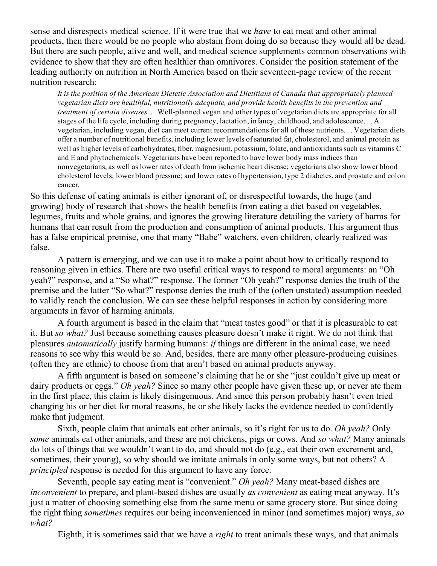sense and disrespects medical science. If it were true that we *have* to eat meat and other animal products, then there would be no people who abstain from doing do so because they would all be dead. But there are such people, alive and well, and medical science supplements common observations with evidence to show that they are often healthier than omnivores. Consider the position statement of the leading authority on nutrition in North America based on their seventeen-page review of the recent nutrition research:

It is the position of the American Dietetic Association and Dietitians of Canada that appropriately planned vegetarian diets are healthful, nutritionally adequate, and provide health benefits in the prevention and treatment of certain diseases... Well-planned vegan and other types of vegetarian diets are appropriate for all stages of the life cycle, including during pregnancy, lactation, infancy, childhood, and adolescence. . . A vegetarian, including vegan, diet can meet current recommendations for all of these nutrients. . . Vegetarian diets offer a number of nutritional benefits, including lower levels ofsaturated fat, cholesterol, and animal protein as well as higher levels of carbohydrates, fiber, magnesium, potassium, folate, and antioxidants such as vitamins C and E and phytochemicals. Vegetarians have been reported to have lower body mass indices than nonvegetarians, as well as lower rates of death from ischemic heart disease; vegetarians also show lower blood cholesterol levels; lower blood pressure; and lower rates of hypertension, type 2 diabetes, and prostate and colon cancer.

So this defense of eating animals is either ignorant of, or disrespectful towards, the huge (and growing) body of research that shows the health benefits from eating a diet based on vegetables, legumes, fruits and whole grains, and ignores the growing literature detailing the variety of harms for humans that can result from the production and consumption of animal products. This argument thus has a false empirical premise, one that many "Babe" watchers, even children, clearly realized was false.

A pattern is emerging, and we can use it to make a point about how to critically respond to reasoning given in ethics. There are two useful critical ways to respond to moral arguments: an "Oh yeah?" response, and a "So what?" response. The former "Oh yeah?" response denies the truth of the premise and the latter "So what?" response denies the truth of the (often unstated) assumption needed to validly reach the conclusion. We can see these helpful responses in action by considering more arguments in favor of harming animals.

A fourth argument is based in the claim that "meat tastes good" or that it is pleasurable to eat it. But so what? Just because something causes pleasure doesn't make it right. We do not think that pleasures automatically justify harming humans: if things are different in the animal case, we need reasons to see why this would be so. And, besides, there are many other pleasure-producing cuisines (often they are ethnic) to choose from that aren't based on animal products anyway.

A fifth argument is based on someone's claiming that he or she "just couldn't give up meat or dairy products or eggs." *Oh yeah*? Since so many other people have given these up, or never ate them in the first place, this claim is likely disingenuous. And since this person probably hasn't even tried changing his or her diet for moral reasons, he or she likely lacks the evidence needed to confidently make that judgment.

Sixth, people claim that animals eat other animals, so it's right for us to do. Oh yeah? Only some animals eat other animals, and these are not chickens, pigs or cows. And so what? Many animals do lots of things that we wouldn't want to do, and should not do (e.g., eat their own excrement and, sometimes, their young), so why should we imitate animals in only some ways, but not others? A principled response is needed for this argument to have any force.

Seventh, people say eating meat is "convenient." Oh yeah? Many meat-based dishes are inconvenient to prepare, and plant-based dishes are usually *as convenient* as eating meat anyway. It's just a matter of choosing something else from the same menu or same grocery store. But since doing the right thing sometimes requires our being inconvenienced in minor (and sometimes major) ways, so what?

Eighth, it is sometimes said that we have a *right* to treat animals these ways, and that animals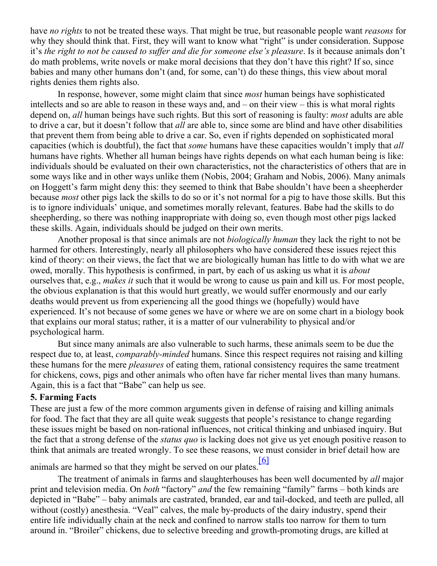have no rights to not be treated these ways. That might be true, but reasonable people want reasons for why they should think that. First, they will want to know what "right" is under consideration. Suppose it's the right to not be caused to suffer and die for someone else's pleasure. Is it because animals don't do math problems, write novels or make moral decisions that they don't have this right? If so, since babies and many other humans don't (and, for some, can't) do these things, this view about moral rights denies them rights also.

In response, however, some might claim that since *most* human beings have sophisticated intellects and so are able to reason in these ways and, and – on their view – this is what moral rights depend on, *all* human beings have such rights. But this sort of reasoning is faulty: *most* adults are able to drive a car, but it doesn't follow that all are able to, since some are blind and have other disabilities that prevent them from being able to drive a car. So, even if rights depended on sophisticated moral capacities (which is doubtful), the fact that some humans have these capacities wouldn't imply that all humans have rights. Whether all human beings have rights depends on what each human being is like: individuals should be evaluated on their own characteristics, not the characteristics of others that are in some ways like and in other ways unlike them (Nobis, 2004; Graham and Nobis, 2006). Many animals on Hoggett's farm might deny this: they seemed to think that Babe shouldn't have been a sheepherder because most other pigs lack the skills to do so or it's not normal for a pig to have those skills. But this is to ignore individuals' unique, and sometimes morally relevant, features. Babe had the skills to do sheepherding, so there was nothing inappropriate with doing so, even though most other pigs lacked these skills. Again, individuals should be judged on their own merits.

Another proposal is that since animals are not *biologically human* they lack the right to not be harmed for others. Interestingly, nearly all philosophers who have considered these issues reject this kind of theory: on their views, the fact that we are biologically human has little to do with what we are owed, morally. This hypothesis is confirmed, in part, by each of us asking us what it is about ourselves that, e.g., *makes it* such that it would be wrong to cause us pain and kill us. For most people, the obvious explanation is that this would hurt greatly, we would suffer enormously and our early deaths would prevent us from experiencing all the good things we (hopefully) would have experienced. It's not because of some genes we have or where we are on some chart in a biology book that explains our moral status; rather, it is a matter of our vulnerability to physical and/or psychological harm.

But since many animals are also vulnerable to such harms, these animals seem to be due the respect due to, at least, *comparably-minded* humans. Since this respect requires not raising and killing these humans for the mere *pleasures* of eating them, rational consistency requires the same treatment for chickens, cows, pigs and other animals who often have far richer mental lives than many humans. Again, this is a fact that "Babe" can help us see.

# 5. Farming Facts

These are just a few of the more common arguments given in defense of raising and killing animals for food. The fact that they are all quite weak suggests that people's resistance to change regarding these issues might be based on non-rational influences, not critical thinking and unbiased inquiry. But the fact that a strong defense of the *status quo* is lacking does not give us yet enough positive reason to think that animals are treated wrongly. To see these reasons, we must consider in brief detail how are

<span id="page-7-0"></span>animals are harmed so that they might be served on our plates. [\[6\]](#page-10-5)

The treatment of animals in farms and slaughterhouses has been well documented by *all* major print and television media[.](http://facstaff.morehouse.edu/~nnobis/courses/simmons.htm#_ftn4) On both "factory" and the few remaining "family" farms – both kinds are depicted in "Babe" – baby animals are castrated, branded, ear and tail-docked, and teeth are pulled, all without (costly) anesthesia. "Veal" calves, the male by-products of the dairy industry, spend their entire life individually chain at the neck and confined to narrow stalls too narrow for them to turn around in. "Broiler" chickens, due to selective breeding and growth-promoting drugs, are killed at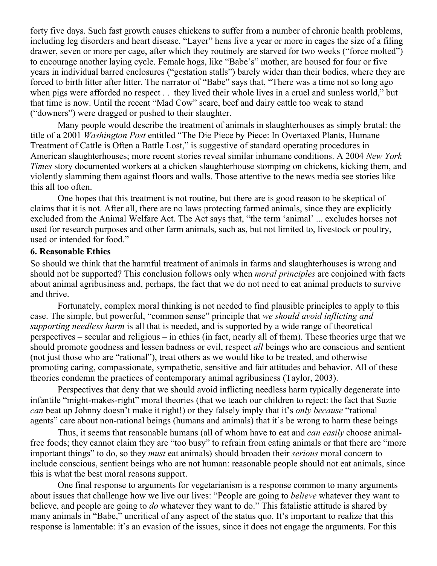forty five days. Such fast growth causes chickens to suffer from a number of chronic health problems, including leg disorders and heart disease. "Layer" hens live a year or more in cages the size of a filing drawer, seven or more per cage, after which they routinely are starved for two weeks ("force molted") to encourage another laying cycle. Female hogs, like "Babe's" mother, are housed for four or five years in individual barred enclosures ("gestation stalls") barely wider than their bodies, where they are forced to birth litter after litter. The narrator of "Babe" says that, "There was a time not so long ago when pigs were afforded no respect . . they lived their whole lives in a cruel and sunless world," but that time is now. Until the recent "Mad Cow" scare, beef and dairy cattle too weak to stand ("downers") were dragged or pushed to their slaughter[.](http://facstaff.morehouse.edu/~nnobis/courses/simmons.htm#_ftn5)

Many people would describe the treatment of animals in slaughterhouses as simply brutal: the title of a 2001 Washington Post entitled "The Die Piece by Piece: In Overtaxed Plants, Humane Treatment of Cattle is Often a Battle Lost," is suggestive of standard operating procedures in American slaughterhouses; more recent stories reveal similar inhumane conditions. A 2004 New York Times story documented workers at a chicken slaughterhouse stomping on chickens, kicking them, and violently slamming them against floors and walls. Those attentive to the news media see stories like this all too often.

One hopes that this treatment is not routine, but there are is good reason to be skeptical of claims that it is not. After all, there are no laws protecting farmed animals, since they are explicitly excluded from the Animal Welfare Act. The Act says that, "the term 'animal' ... excludes horses not used for research purposes and other farm animals, such as, but not limited to, livestock or poultry, used or intended for food."

## 6. Reasonable Ethics

So should we think that the harmful treatment of animals in farms and slaughterhouses is wrong and should not be supported? This conclusion follows only when *moral principles* are conjoined with facts about animal agribusiness and, perhaps, the fact that we do not need to eat animal products to survive and thrive.

Fortunately, complex moral thinking is not needed to find plausible principles to apply to this case. The simple, but powerful, "common sense" principle that we should avoid inflicting and supporting needless harm is all that is needed, and is supported by a wide range of theoretical perspectives – secular and religious – in ethics (in fact, nearly all of them). These theories urge that we should promote goodness and lessen badness or evil, respect *all* beings who are conscious and sentient (not just those who are "rational"), treat others as we would like to be treated, and otherwise promoting caring, compassionate, sympathetic, sensitive and fair attitudes and behavior. All of these theories condemn the practices of contemporary animal agribusiness (Taylor, 2003).

Perspectives that deny that we should avoid inflicting needless harm typically degenerate into infantile "might-makes-right" moral theories (that we teach our children to reject: the fact that Suzie can beat up Johnny doesn't make it right!) or they falsely imply that it's only because "rational agents" care about non-rational beings (humans and animals) that it's be wrong to harm these beings

Thus, it seems that reasonable humans (all of whom have to eat and *can easily* choose animalfree foods; they cannot claim they are "too busy" to refrain from eating animals or that there are "more important things" to do, so they must eat animals) should broaden their serious moral concern to include conscious, sentient beings who are not human: reasonable people should not eat animals, since this is what the best moral reasons support.

One final response to arguments for vegetarianism is a response common to many arguments about issues that challenge how we live our lives: "People are going to believe whatever they want to believe, and people are going to do whatever they want to do." This fatalistic attitude is shared by many animals in "Babe," uncritical of any aspect of the status quo. It's important to realize that this response is lamentable: it's an evasion of the issues, since it does not engage the arguments. For this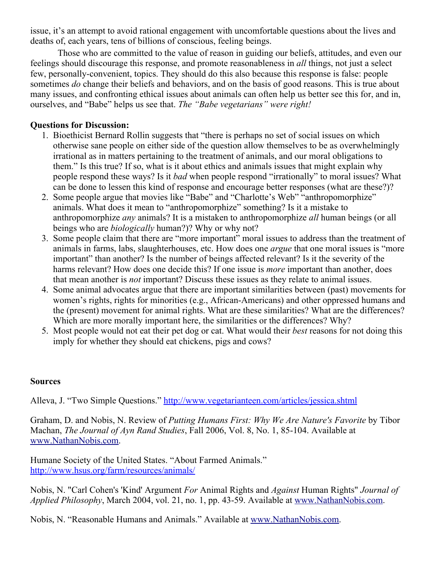issue, it's an attempt to avoid rational engagement with uncomfortable questions about the lives and deaths of, each years, tens of billions of conscious, feeling beings.

Those who are committed to the value of reason in guiding our beliefs, attitudes, and even our feelings should discourage this response, and promote reasonableness in all things, not just a select few, personally-convenient, topics. They should do this also because this response is false: people sometimes *do* change their beliefs and behaviors, and on the basis of good reasons. This is true about many issues, and confronting ethical issues about animals can often help us better see this for, and in, ourselves, and "Babe" helps us see that. The "Babe vegetarians" were right!

# Questions for Discussion:

- 1. Bioethicist Bernard Rollin suggests that "there is perhaps no set of social issues on which otherwise sane people on either side of the question allow themselves to be as overwhelmingly irrational as in matters pertaining to the treatment of animals, and our moral obligations to them." Is this true? If so, what is it about ethics and animals issues that might explain why people respond these ways? Is it bad when people respond "irrationally" to moral issues? What can be done to lessen this kind of response and encourage better responses (what are these?)?
- 2. Some people argue that movies like "Babe" and "Charlotte's Web" "anthropomorphize" animals. What does it mean to "anthropomorphize" something? Is it a mistake to anthropomorphize *any* animals? It is a mistaken to anthropomorphize *all* human beings (or all beings who are *biologically* human?)? Why or why not?
- 3. Some people claim that there are "more important" moral issues to address than the treatment of animals in farms, labs, slaughterhouses, etc. How does one argue that one moral issues is "more important" than another? Is the number of beings affected relevant? Is it the severity of the harms relevant? How does one decide this? If one issue is *more* important than another, does that mean another is not important? Discuss these issues as they relate to animal issues.
- 4. Some animal advocates argue that there are important similarities between (past) movements for women's rights, rights for minorities (e.g., African-Americans) and other oppressed humans and the (present) movement for animal rights. What are these similarities? What are the differences? Which are more morally important here, the similarities or the differences? Why?
- 5. Most people would not eat their pet dog or cat. What would their best reasons for not doing this imply for whether they should eat chickens, pigs and cows?

# Sources

Alleva, J. "Two Simple Questions." <http://www.vegetarianteen.com/articles/jessica.shtml>

Graham, D. and Nobis, N. Review of Putting Humans First: Why We Are Nature's Favorite by Tibor Machan, The Journal of Ayn Rand Studies, Fall 2006, Vol. 8, No. 1, 85-104. Available at [www.NathanNobis.com](http://www.nathannobis.com/).

Humane Society of the United States. "About Farmed Animals." <http://www.hsus.org/farm/resources/animals/>

Nobis, N. "Carl Cohen's 'Kind' Argument For Animal Rights and Against Human Rights" Journal of Applied Philosophy, March 2004, vol. 21, no. 1, pp. 43-59. Available at [www.NathanNobis.com.](http://www.nathannobis.com/)

Nobis, N. "Reasonable Humans and Animals." Available at [www.NathanNobis.com](http://www.nathannobis.com/).